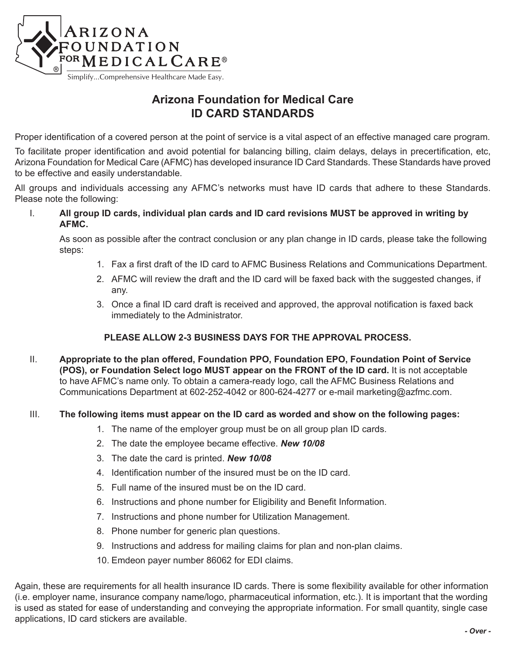

# **Arizona Foundation for Medical Care ID CARD STANDARDS**

Proper identification of a covered person at the point of service is a vital aspect of an effective managed care program.

To facilitate proper identification and avoid potential for balancing billing, claim delays, delays in precertification, etc, Arizona Foundation for Medical Care (AFMC) has developed insurance ID Card Standards. These Standards have proved to be effective and easily understandable.

All groups and individuals accessing any AFMC's networks must have ID cards that adhere to these Standards. Please note the following:

I. **All group ID cards, individual plan cards and ID card revisions MUST be approved in writing by AFMC.** 

As soon as possible after the contract conclusion or any plan change in ID cards, please take the following steps:

- 1. Fax a first draft of the ID card to AFMC Business Relations and Communications Department.
- 2. AFMC will review the draft and the ID card will be faxed back with the suggested changes, if any.
- 3. Once a final ID card draft is received and approved, the approval notification is faxed back immediately to the Administrator.

#### **PLEASE ALLOW 2-3 BUSINESS DAYS FOR THE APPROVAL PROCESS.**

II. **Appropriate to the plan offered, Foundation PPO, Foundation EPO, Foundation Point of Service (POS), or Foundation Select logo MUST appear on the FRONT of the ID card.** It is not acceptable to have AFMC's name only. To obtain a camera-ready logo, call the AFMC Business Relations and Communications Department at 602-252-4042 or 800-624-4277 or e-mail marketing@azfmc.com.

#### III. **The following items must appear on the ID card as worded and show on the following pages:**

- 1. The name of the employer group must be on all group plan ID cards.
- 2. The date the employee became effective. *New 10/08*
- 3. The date the card is printed. *New 10/08*
- 4. Identification number of the insured must be on the ID card.
- 5. Full name of the insured must be on the ID card.
- 6. Instructions and phone number for Eligibility and Benefit Information.
- 7. Instructions and phone number for Utilization Management.
- 8. Phone number for generic plan questions.
- 9. Instructions and address for mailing claims for plan and non-plan claims.
- 10. Emdeon payer number 86062 for EDI claims.

Again, these are requirements for all health insurance ID cards. There is some flexibility available for other information (i.e. employer name, insurance company name/logo, pharmaceutical information, etc.). It is important that the wording is used as stated for ease of understanding and conveying the appropriate information. For small quantity, single case applications, ID card stickers are available.